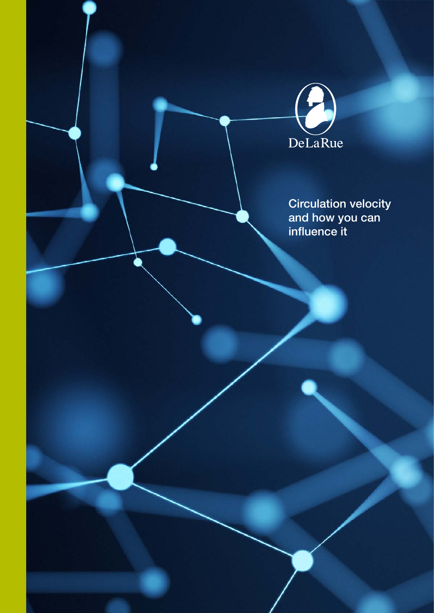

Circulation velocity and how you can influence it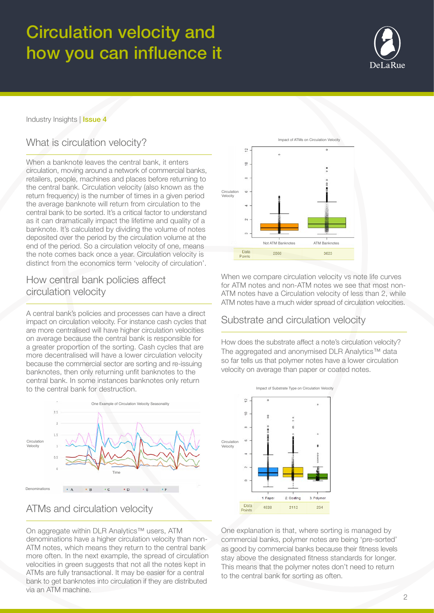# Circulation velocity and how you can influence it



### Industry Insights | Issue 4

## What is circulation velocity?

When a banknote leaves the central bank, it enters circulation, moving around a network of commercial banks, retailers, people, machines and places before returning to the central bank. Circulation velocity (also known as the return frequency) is the number of times in a given period the average banknote will return from circulation to the central bank to be sorted. It's a critical factor to understand as it can dramatically impact the lifetime and quality of a banknote. It's calculated by dividing the volume of notes deposited over the period by the circulation volume at the end of the period. So a circulation velocity of one, means the note comes back once a year. Circulation velocity is distinct from the economics term 'velocity of circulation'.

## How central bank policies affect circulation velocity

A central bank's policies and processes can have a direct impact on circulation velocity. For instance cash cycles that are more centralised will have higher circulation velocities on average because the central bank is responsible for a greater proportion of the sorting. Cash cycles that are more decentralised will have a lower circulation velocity because the commercial sector are sorting and re-issuing banknotes, then only returning unfit banknotes to the central bank. In some instances banknotes only return to the central bank for destruction.





On aggregate within DLR Analytics™ users, ATM denominations have a higher circulation velocity than non-ATM notes, which means they return to the central bank more often. In the next example, the spread of circulation velocities in green suggests that not all the notes kept in ATMs are fully transactional. It may be easier for a central bank to get banknotes into circulation if they are distributed via an ATM machine.



When we compare circulation velocity vs note life curves for ATM notes and non-ATM notes we see that most non-ATM notes have a Circulation velocity of less than 2, while ATM notes have a much wider spread of circulation velocities.

### Substrate and circulation velocity

How does the substrate affect a note's circulation velocity? The aggregated and anonymised DLR Analytics™ data so far tells us that polymer notes have a lower circulation velocity on average than paper or coated notes.



One explanation is that, where sorting is managed by commercial banks, polymer notes are being 'pre-sorted' as good by commercial banks because their fitness levels stay above the designated fitness standards for longer. This means that the polymer notes don't need to return to the central bank for sorting as often.